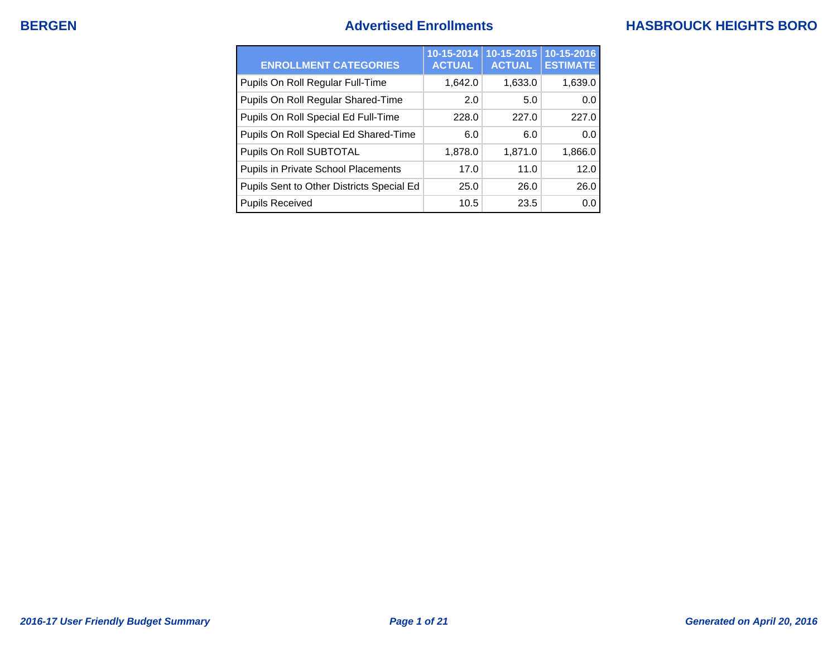## **BERGEN Advertised Enrollments HASBROUCK HEIGHTS BORO**

| <b>ENROLLMENT CATEGORIES</b>               | 10-15-2014<br><b>ACTUAL</b> | 10-15-2015<br><b>ACTUAL</b> | 10-15-2016<br><b>ESTIMATE</b> |
|--------------------------------------------|-----------------------------|-----------------------------|-------------------------------|
| Pupils On Roll Regular Full-Time           | 1,642.0                     | 1,633.0                     | 1,639.0                       |
| Pupils On Roll Regular Shared-Time         | 2.0                         | 5.0                         | 0.0                           |
| Pupils On Roll Special Ed Full-Time        | 228.0                       | 227.0                       | 227.0                         |
| Pupils On Roll Special Ed Shared-Time      | 6.0                         | 6.0                         | 0.0                           |
| Pupils On Roll SUBTOTAL                    | 1,878.0                     | 1,871.0                     | 1,866.0                       |
| <b>Pupils in Private School Placements</b> | 17.0                        | 11.0                        | 12.0                          |
| Pupils Sent to Other Districts Special Ed  | 25.0                        | 26.0                        | 26.0                          |
| <b>Pupils Received</b>                     | 10.5                        | 23.5                        | 0.0                           |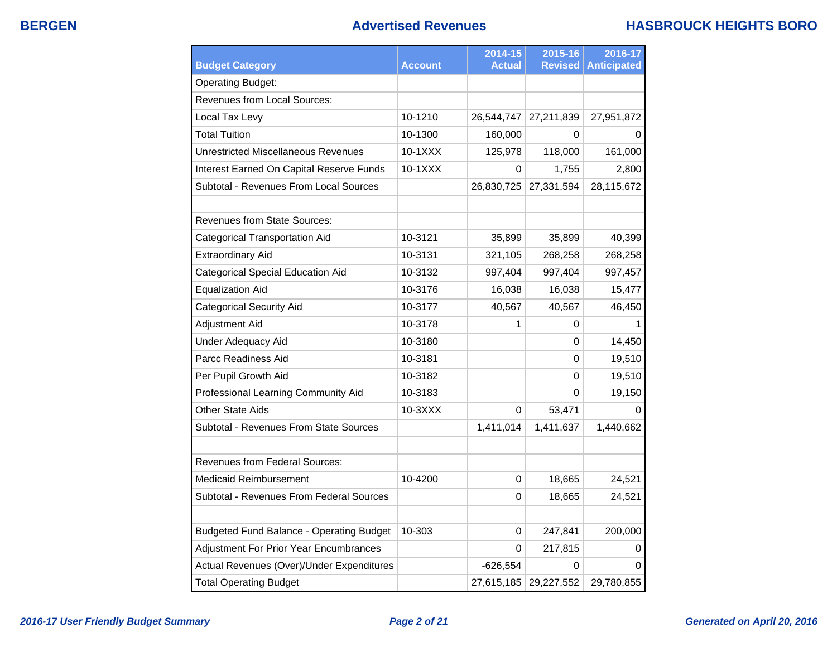### **BERGEN Advertised Revenues HASBROUCK HEIGHTS BORO**

| <b>Budget Category</b>                          | <b>Account</b> | 2014-15<br><b>Actual</b> | 2015-16<br><b>Revised</b> | 2016-17<br><b>Anticipated</b> |
|-------------------------------------------------|----------------|--------------------------|---------------------------|-------------------------------|
| <b>Operating Budget:</b>                        |                |                          |                           |                               |
| <b>Revenues from Local Sources:</b>             |                |                          |                           |                               |
| Local Tax Levy                                  | 10-1210        | 26,544,747               | 27,211,839                | 27,951,872                    |
| <b>Total Tuition</b>                            | 10-1300        | 160,000                  | 0                         | 0                             |
| <b>Unrestricted Miscellaneous Revenues</b>      | 10-1XXX        | 125,978                  | 118,000                   | 161,000                       |
| Interest Earned On Capital Reserve Funds        | 10-1XXX        | $\Omega$                 | 1,755                     | 2,800                         |
| Subtotal - Revenues From Local Sources          |                | 26,830,725               | 27,331,594                | 28,115,672                    |
| <b>Revenues from State Sources:</b>             |                |                          |                           |                               |
| <b>Categorical Transportation Aid</b>           | 10-3121        | 35,899                   | 35,899                    | 40,399                        |
| <b>Extraordinary Aid</b>                        | 10-3131        | 321,105                  | 268,258                   | 268,258                       |
| <b>Categorical Special Education Aid</b>        | 10-3132        | 997,404                  | 997,404                   | 997,457                       |
| <b>Equalization Aid</b>                         | 10-3176        | 16,038                   | 16,038                    | 15,477                        |
| <b>Categorical Security Aid</b>                 | 10-3177        | 40,567                   | 40,567                    | 46,450                        |
| <b>Adjustment Aid</b>                           | 10-3178        | 1                        | 0                         |                               |
| <b>Under Adequacy Aid</b>                       | 10-3180        |                          | 0                         | 14,450                        |
| Parcc Readiness Aid                             | 10-3181        |                          | 0                         | 19,510                        |
| Per Pupil Growth Aid                            | 10-3182        |                          | 0                         | 19,510                        |
| Professional Learning Community Aid             | 10-3183        |                          | 0                         | 19,150                        |
| <b>Other State Aids</b>                         | 10-3XXX        | 0                        | 53,471                    | 0                             |
| Subtotal - Revenues From State Sources          |                | 1,411,014                | 1,411,637                 | 1,440,662                     |
| <b>Revenues from Federal Sources:</b>           |                |                          |                           |                               |
| <b>Medicaid Reimbursement</b>                   | 10-4200        | 0                        | 18,665                    | 24,521                        |
| Subtotal - Revenues From Federal Sources        |                | 0                        | 18,665                    | 24,521                        |
| <b>Budgeted Fund Balance - Operating Budget</b> | 10-303         | 0                        | 247,841                   | 200,000                       |
| <b>Adjustment For Prior Year Encumbrances</b>   |                | $\Omega$                 | 217,815                   | 0                             |
| Actual Revenues (Over)/Under Expenditures       |                | $-626,554$               | 0                         | 0                             |
| <b>Total Operating Budget</b>                   |                |                          | 27,615,185 29,227,552     | 29,780,855                    |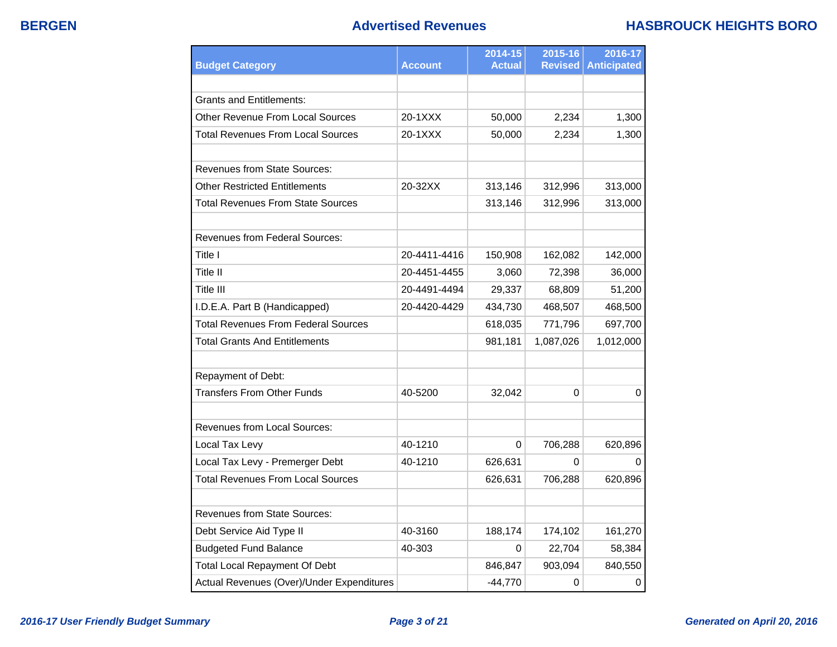### **BERGEN Advertised Revenues HASBROUCK HEIGHTS BORO**

| <b>Budget Category</b>                     | <b>Account</b> | 2014-15<br><b>Actual</b> | 2015-16<br><b>Revised</b> | 2016-17<br><b>Anticipated</b> |
|--------------------------------------------|----------------|--------------------------|---------------------------|-------------------------------|
|                                            |                |                          |                           |                               |
| Grants and Entitlements:                   |                |                          |                           |                               |
| Other Revenue From Local Sources           | 20-1XXX        | 50,000                   | 2,234                     | 1,300                         |
| Total Revenues From Local Sources          | 20-1XXX        | 50,000                   | 2,234                     | 1,300                         |
|                                            |                |                          |                           |                               |
| <b>Revenues from State Sources:</b>        |                |                          |                           |                               |
| Other Restricted Entitlements              | 20-32XX        | 313,146                  | 312,996                   | 313,000                       |
| <b>Total Revenues From State Sources</b>   |                | 313,146                  | 312,996                   | 313,000                       |
|                                            |                |                          |                           |                               |
| <b>Revenues from Federal Sources:</b>      |                |                          |                           |                               |
| Title I                                    | 20-4411-4416   | 150,908                  | 162,082                   | 142,000                       |
| Title II                                   | 20-4451-4455   | 3,060                    | 72,398                    | 36,000                        |
| Title III                                  | 20-4491-4494   | 29,337                   | 68,809                    | 51,200                        |
| I.D.E.A. Part B (Handicapped)              | 20-4420-4429   | 434,730                  | 468,507                   | 468,500                       |
| <b>Total Revenues From Federal Sources</b> |                | 618,035                  | 771,796                   | 697,700                       |
| <b>Total Grants And Entitlements</b>       |                | 981,181                  | 1,087,026                 | 1,012,000                     |
| Repayment of Debt:                         |                |                          |                           |                               |
| <b>Transfers From Other Funds</b>          | 40-5200        | 32,042                   | 0                         | 0                             |
|                                            |                |                          |                           |                               |
| <b>Revenues from Local Sources:</b>        |                |                          |                           |                               |
| Local Tax Levy                             | 40-1210        | $\Omega$                 | 706,288                   | 620,896                       |
| Local Tax Levy - Premerger Debt            | 40-1210        | 626,631                  | 0                         | O                             |
| <b>Total Revenues From Local Sources</b>   |                | 626,631                  | 706,288                   | 620,896                       |
| <b>Revenues from State Sources:</b>        |                |                          |                           |                               |
| Debt Service Aid Type II                   | 40-3160        | 188,174                  | 174,102                   | 161,270                       |
| <b>Budgeted Fund Balance</b>               | 40-303         | 0                        | 22,704                    | 58,384                        |
| <b>Total Local Repayment Of Debt</b>       |                | 846,847                  | 903,094                   | 840,550                       |
| Actual Revenues (Over)/Under Expenditures  |                | $-44,770$                | 0                         | $\mathbf 0$                   |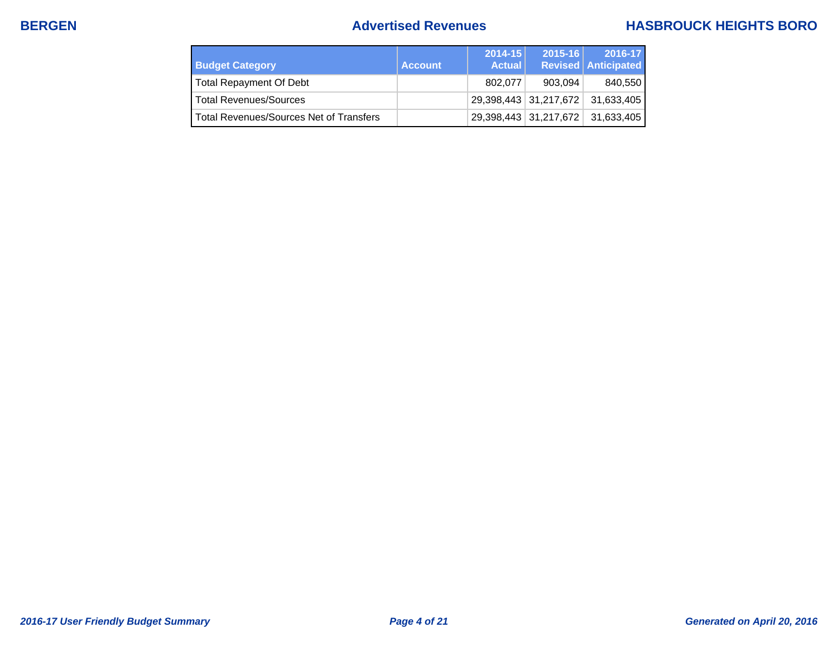## **BERGEN Advertised Revenues HASBROUCK HEIGHTS BORO**

| <b>Budget Category</b>                  | <b>Account</b> | $2014 - 15$<br><b>Actual</b> | $2015 - 16$           | 2016-17<br><b>Revised Anticipated</b> |
|-----------------------------------------|----------------|------------------------------|-----------------------|---------------------------------------|
| <b>Total Repayment Of Debt</b>          |                | 802.077                      | 903.094               | 840,550                               |
| <b>Total Revenues/Sources</b>           |                |                              | 29,398,443 31,217,672 | 31,633,405                            |
| Total Revenues/Sources Net of Transfers |                |                              | 29,398,443 31,217,672 | 31,633,405                            |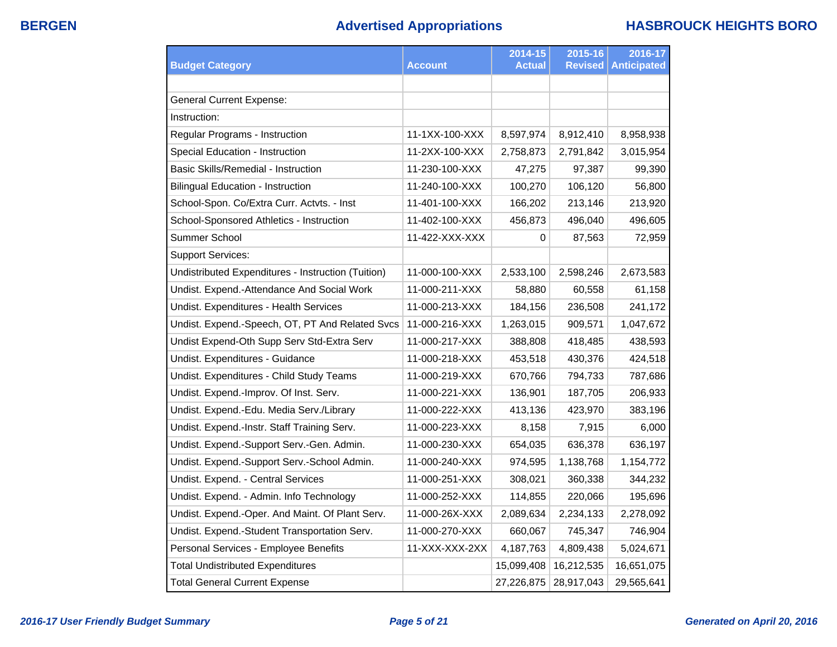|                                                    |                | 2014-15       | 2015-16        | 2016-17            |
|----------------------------------------------------|----------------|---------------|----------------|--------------------|
| <b>Budget Category</b>                             | <b>Account</b> | <b>Actual</b> | <b>Revised</b> | <b>Anticipated</b> |
|                                                    |                |               |                |                    |
| <b>General Current Expense:</b>                    |                |               |                |                    |
| Instruction:                                       |                |               |                |                    |
| Regular Programs - Instruction                     | 11-1XX-100-XXX | 8,597,974     | 8,912,410      | 8,958,938          |
| Special Education - Instruction                    | 11-2XX-100-XXX | 2,758,873     | 2,791,842      | 3,015,954          |
| Basic Skills/Remedial - Instruction                | 11-230-100-XXX | 47,275        | 97,387         | 99,390             |
| <b>Bilingual Education - Instruction</b>           | 11-240-100-XXX | 100,270       | 106,120        | 56,800             |
| School-Spon. Co/Extra Curr. Actvts. - Inst         | 11-401-100-XXX | 166,202       | 213,146        | 213,920            |
| School-Sponsored Athletics - Instruction           | 11-402-100-XXX | 456,873       | 496,040        | 496,605            |
| Summer School                                      | 11-422-XXX-XXX | 0             | 87,563         | 72,959             |
| <b>Support Services:</b>                           |                |               |                |                    |
| Undistributed Expenditures - Instruction (Tuition) | 11-000-100-XXX | 2,533,100     | 2,598,246      | 2,673,583          |
| Undist. Expend.-Attendance And Social Work         | 11-000-211-XXX | 58,880        | 60,558         | 61,158             |
| Undist. Expenditures - Health Services             | 11-000-213-XXX | 184,156       | 236,508        | 241,172            |
| Undist. Expend.-Speech, OT, PT And Related Svcs    | 11-000-216-XXX | 1,263,015     | 909,571        | 1,047,672          |
| Undist Expend-Oth Supp Serv Std-Extra Serv         | 11-000-217-XXX | 388,808       | 418,485        | 438,593            |
| Undist. Expenditures - Guidance                    | 11-000-218-XXX | 453,518       | 430,376        | 424,518            |
| Undist. Expenditures - Child Study Teams           | 11-000-219-XXX | 670,766       | 794,733        | 787,686            |
| Undist. Expend.-Improv. Of Inst. Serv.             | 11-000-221-XXX | 136,901       | 187,705        | 206,933            |
| Undist. Expend.-Edu. Media Serv./Library           | 11-000-222-XXX | 413,136       | 423,970        | 383,196            |
| Undist. Expend.-Instr. Staff Training Serv.        | 11-000-223-XXX | 8,158         | 7,915          | 6,000              |
| Undist. Expend.-Support Serv.-Gen. Admin.          | 11-000-230-XXX | 654,035       | 636,378        | 636,197            |
| Undist. Expend.-Support Serv.-School Admin.        | 11-000-240-XXX | 974,595       | 1,138,768      | 1,154,772          |
| Undist. Expend. - Central Services                 | 11-000-251-XXX | 308,021       | 360,338        | 344,232            |
| Undist. Expend. - Admin. Info Technology           | 11-000-252-XXX | 114,855       | 220,066        | 195,696            |
| Undist. Expend.-Oper. And Maint. Of Plant Serv.    | 11-000-26X-XXX | 2,089,634     | 2,234,133      | 2,278,092          |
| Undist. Expend.-Student Transportation Serv.       | 11-000-270-XXX | 660,067       | 745,347        | 746,904            |
| Personal Services - Employee Benefits              | 11-XXX-XXX-2XX | 4,187,763     | 4,809,438      | 5,024,671          |
| <b>Total Undistributed Expenditures</b>            |                | 15,099,408    | 16,212,535     | 16,651,075         |
| <b>Total General Current Expense</b>               |                | 27,226,875    | 28,917,043     | 29,565,641         |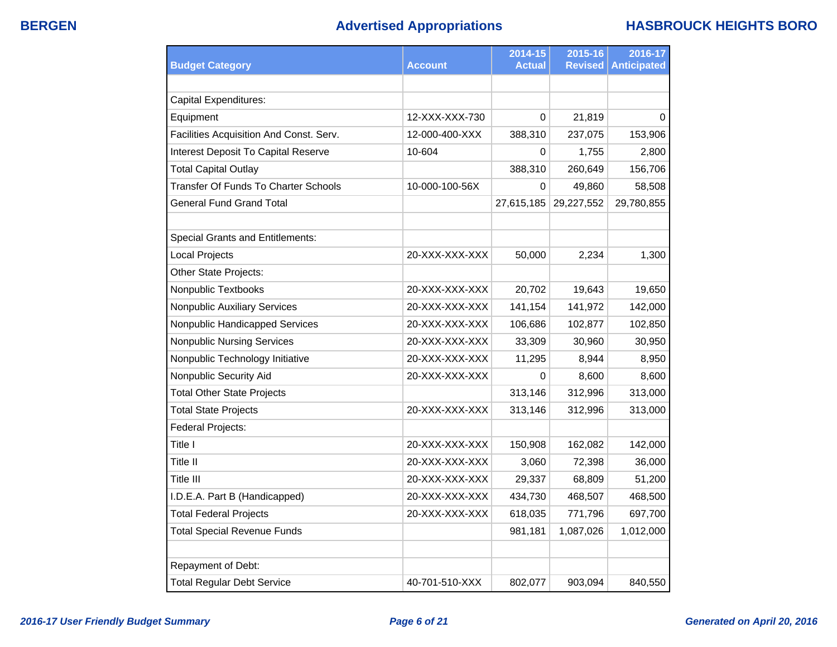# **BERGEN Advertised Appropriations HASBROUCK HEIGHTS BORO**

| <b>Budget Category</b>                  | Account        | 2014-15<br><b>Actual</b> | 2015-16<br><b>Revised</b> | 2016-17<br><b>Anticipated</b> |
|-----------------------------------------|----------------|--------------------------|---------------------------|-------------------------------|
|                                         |                |                          |                           |                               |
| <b>Capital Expenditures:</b>            |                |                          |                           |                               |
| Equipment                               | 12-XXX-XXX-730 | $\Omega$                 | 21,819                    | $\Omega$                      |
| Facilities Acquisition And Const. Serv. | 12-000-400-XXX | 388,310                  | 237,075                   | 153,906                       |
| Interest Deposit To Capital Reserve     | 10-604         | 0                        | 1,755                     | 2,800                         |
| <b>Total Capital Outlay</b>             |                | 388,310                  | 260,649                   | 156,706                       |
| Transfer Of Funds To Charter Schools    | 10-000-100-56X | $\Omega$                 | 49,860                    | 58,508                        |
| <b>General Fund Grand Total</b>         |                | 27,615,185               | 29,227,552                | 29,780,855                    |
|                                         |                |                          |                           |                               |
| <b>Special Grants and Entitlements:</b> |                |                          |                           |                               |
| <b>Local Projects</b>                   | 20-XXX-XXX-XXX | 50,000                   | 2,234                     | 1,300                         |
| Other State Projects:                   |                |                          |                           |                               |
| Nonpublic Textbooks                     | 20-XXX-XXX-XXX | 20,702                   | 19,643                    | 19,650                        |
| <b>Nonpublic Auxiliary Services</b>     | 20-XXX-XXX-XXX | 141,154                  | 141,972                   | 142,000                       |
| Nonpublic Handicapped Services          | 20-XXX-XXX-XXX | 106,686                  | 102,877                   | 102,850                       |
| <b>Nonpublic Nursing Services</b>       | 20-XXX-XXX-XXX | 33,309                   | 30,960                    | 30,950                        |
| Nonpublic Technology Initiative         | 20-XXX-XXX-XXX | 11,295                   | 8,944                     | 8,950                         |
| Nonpublic Security Aid                  | 20-XXX-XXX-XXX | 0                        | 8,600                     | 8,600                         |
| <b>Total Other State Projects</b>       |                | 313,146                  | 312,996                   | 313,000                       |
| <b>Total State Projects</b>             | 20-XXX-XXX-XXX | 313,146                  | 312,996                   | 313,000                       |
| Federal Projects:                       |                |                          |                           |                               |
| Title I                                 | 20-XXX-XXX-XXX | 150,908                  | 162,082                   | 142,000                       |
| Title II                                | 20-XXX-XXX-XXX | 3,060                    | 72,398                    | 36,000                        |
| Title III                               | 20-XXX-XXX-XXX | 29,337                   | 68,809                    | 51,200                        |
| I.D.E.A. Part B (Handicapped)           | 20-XXX-XXX-XXX | 434,730                  | 468,507                   | 468,500                       |
| <b>Total Federal Projects</b>           | 20-XXX-XXX-XXX | 618,035                  | 771,796                   | 697,700                       |
| <b>Total Special Revenue Funds</b>      |                | 981,181                  | 1,087,026                 | 1,012,000                     |
|                                         |                |                          |                           |                               |
| Repayment of Debt:                      |                |                          |                           |                               |
| <b>Total Regular Debt Service</b>       | 40-701-510-XXX | 802,077                  | 903,094                   | 840,550                       |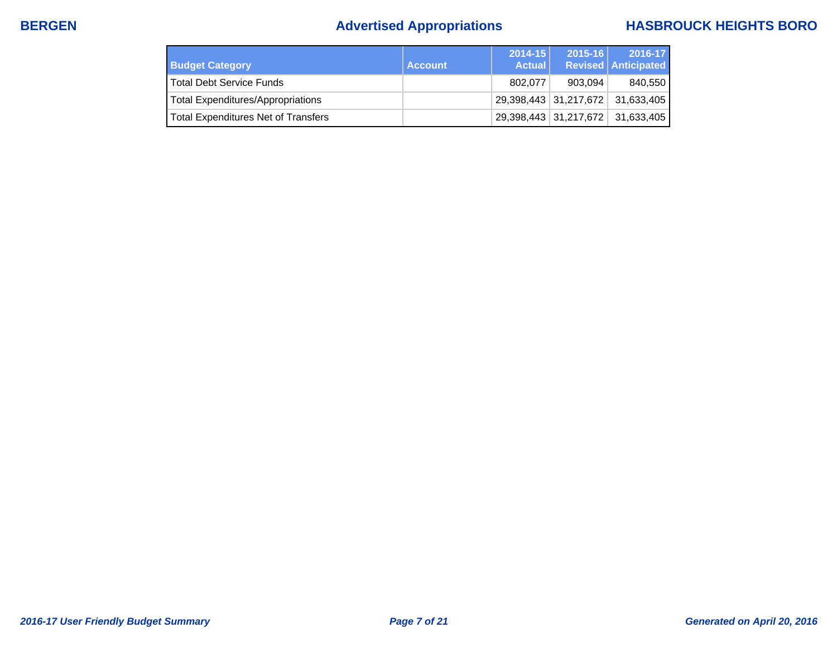# **BERGEN Advertised Appropriations HASBROUCK HEIGHTS BORO**

| <b>Budget Category</b>              | <b>Account</b> | $2014 - 15$<br><b>Actual</b> | $2015 - 16$                     | 2016-17<br><b>Revised Anticipated</b> |
|-------------------------------------|----------------|------------------------------|---------------------------------|---------------------------------------|
| l Total Debt Service Funds          |                | 802.077                      | 903.094                         | 840,550                               |
| Total Expenditures/Appropriations   |                |                              |                                 | 29,398,443 31,217,672 31,633,405      |
| Total Expenditures Net of Transfers |                |                              | $\vert$ 29,398,443   31,217,672 | 31,633,405                            |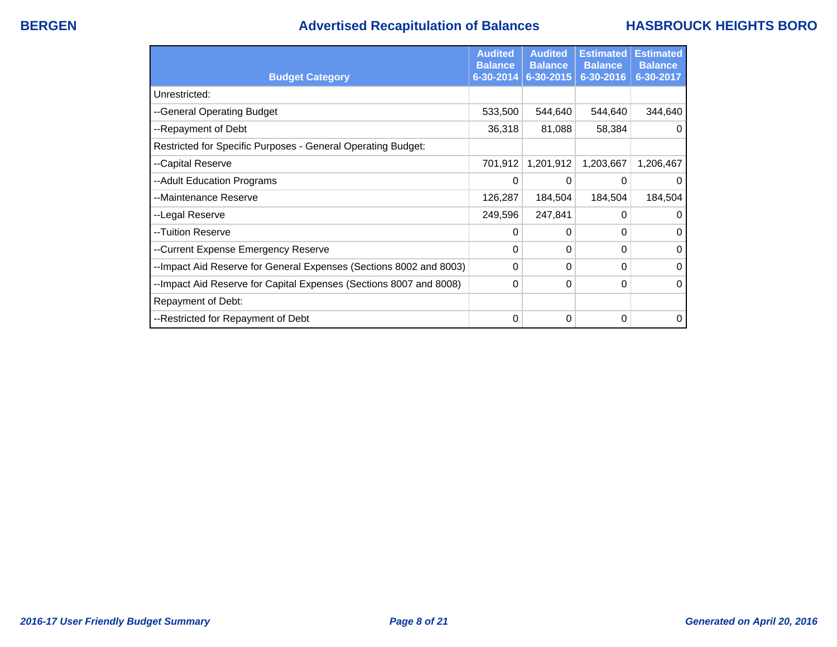## **BERGEN Advertised Recapitulation of Balances HASBROUCK HEIGHTS BORO**

|                                                                    | <b>Audited</b><br><b>Balance</b> | <b>Audited</b><br><b>Balance</b> | <b>Estimated</b><br><b>Balance</b> | <b>Estimated</b><br><b>Balance</b> |
|--------------------------------------------------------------------|----------------------------------|----------------------------------|------------------------------------|------------------------------------|
| <b>Budget Category</b>                                             | 6-30-2014                        | 6-30-2015                        | 6-30-2016                          | 6-30-2017                          |
| Unrestricted:                                                      |                                  |                                  |                                    |                                    |
| --General Operating Budget                                         | 533,500                          | 544,640                          | 544,640                            | 344,640                            |
| --Repayment of Debt                                                | 36,318                           | 81,088                           | 58,384                             | $\Omega$                           |
| Restricted for Specific Purposes - General Operating Budget:       |                                  |                                  |                                    |                                    |
| --Capital Reserve                                                  | 701,912                          | 1,201,912                        | 1,203,667                          | 1,206,467                          |
| --Adult Education Programs                                         | 0                                | 0                                | 0                                  | 0                                  |
| --Maintenance Reserve                                              | 126,287                          | 184,504                          | 184,504                            | 184,504                            |
| --Legal Reserve                                                    | 249,596                          | 247,841                          | 0                                  | $\mathbf{0}$                       |
| --Tuition Reserve                                                  | 0                                | 0                                | 0                                  | 0                                  |
| --Current Expense Emergency Reserve                                | 0                                | 0                                | 0                                  | $\Omega$                           |
| --Impact Aid Reserve for General Expenses (Sections 8002 and 8003) | 0                                | 0                                | 0                                  | $\mathbf{0}$                       |
| --Impact Aid Reserve for Capital Expenses (Sections 8007 and 8008) | 0                                | 0                                | 0                                  | $\mathbf{0}$                       |
| Repayment of Debt:                                                 |                                  |                                  |                                    |                                    |
| --Restricted for Repayment of Debt                                 | 0                                | 0                                | 0                                  | 0                                  |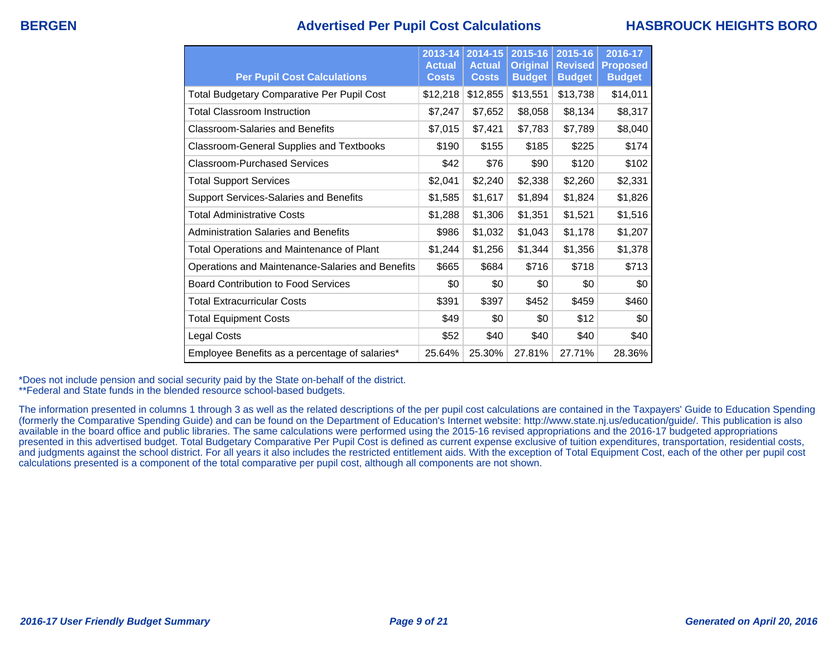### **BERGEN Advertised Per Pupil Cost Calculations HASBROUCK HEIGHTS BORO**

| <b>Per Pupil Cost Calculations</b>                | 2013-14<br><b>Actual</b><br><b>Costs</b> | 2014-15<br><b>Actual</b><br><b>Costs</b> | 2015-16<br><b>Original</b><br><b>Budget</b> | 2015-16<br><b>Revised</b><br><b>Budget</b> | 2016-17<br><b>Proposed</b><br><b>Budget</b> |
|---------------------------------------------------|------------------------------------------|------------------------------------------|---------------------------------------------|--------------------------------------------|---------------------------------------------|
| <b>Total Budgetary Comparative Per Pupil Cost</b> | \$12,218                                 | \$12,855                                 | \$13,551                                    | \$13,738                                   | \$14,011                                    |
| <b>Total Classroom Instruction</b>                | \$7,247                                  | \$7,652                                  | \$8,058                                     | \$8,134                                    | \$8,317                                     |
| <b>Classroom-Salaries and Benefits</b>            | \$7,015                                  | \$7,421                                  | \$7,783                                     | \$7,789                                    | \$8,040                                     |
| Classroom-General Supplies and Textbooks          | \$190                                    | \$155                                    | \$185                                       | \$225                                      | \$174                                       |
| Classroom-Purchased Services                      | \$42                                     | \$76                                     | \$90                                        | \$120                                      | \$102                                       |
| <b>Total Support Services</b>                     | \$2,041                                  | \$2,240                                  | \$2,338                                     | \$2,260                                    | \$2,331                                     |
| Support Services-Salaries and Benefits            | \$1,585                                  | \$1,617                                  | \$1,894                                     | \$1,824                                    | \$1,826                                     |
| <b>Total Administrative Costs</b>                 | \$1,288                                  | \$1,306                                  | \$1,351                                     | \$1,521                                    | \$1,516                                     |
| <b>Administration Salaries and Benefits</b>       | \$986                                    | \$1,032                                  | \$1,043                                     | \$1,178                                    | \$1,207                                     |
| <b>Total Operations and Maintenance of Plant</b>  | \$1,244                                  | \$1,256                                  | \$1,344                                     | \$1,356                                    | \$1,378                                     |
| Operations and Maintenance-Salaries and Benefits  | \$665                                    | \$684                                    | \$716                                       | \$718                                      | \$713                                       |
| <b>Board Contribution to Food Services</b>        | \$0                                      | \$0                                      | \$0                                         | \$0                                        | \$0                                         |
| <b>Total Extracurricular Costs</b>                | \$391                                    | \$397                                    | \$452                                       | \$459                                      | \$460                                       |
| <b>Total Equipment Costs</b>                      | \$49                                     | \$0                                      | \$0                                         | \$12                                       | \$0                                         |
| <b>Legal Costs</b>                                | \$52                                     | \$40                                     | \$40                                        | \$40                                       | \$40                                        |
| Employee Benefits as a percentage of salaries*    | 25.64%                                   | 25.30%                                   | 27.81%                                      | 27.71%                                     | 28.36%                                      |

\*Does not include pension and social security paid by the State on-behalf of the district.

\*\*Federal and State funds in the blended resource school-based budgets.

The information presented in columns 1 through 3 as well as the related descriptions of the per pupil cost calculations are contained in the Taxpayers' Guide to Education Spending (formerly the Comparative Spending Guide) and can be found on the Department of Education's Internet website: http://www.state.nj.us/education/guide/. This publication is also available in the board office and public libraries. The same calculations were performed using the 2015-16 revised appropriations and the 2016-17 budgeted appropriations presented in this advertised budget. Total Budgetary Comparative Per Pupil Cost is defined as current expense exclusive of tuition expenditures, transportation, residential costs, and judgments against the school district. For all years it also includes the restricted entitlement aids. With the exception of Total Equipment Cost, each of the other per pupil cost calculations presented is a component of the total comparative per pupil cost, although all components are not shown.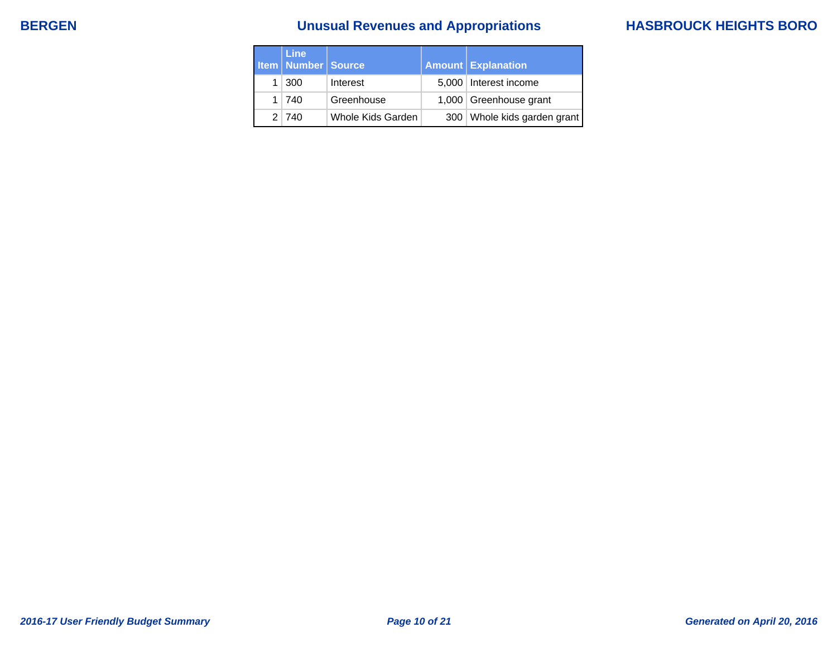# **BERGEN Unusual Revenues and Appropriations HASBROUCK HEIGHTS BORO**

| <b>Line</b><br><b>Item   Number   Source</b> |                   | <b>Amount Explanation</b>     |
|----------------------------------------------|-------------------|-------------------------------|
| $1 \mid 300$                                 | Interest          | 5,000   Interest income       |
| 1 740                                        | Greenhouse        | 1,000 Greenhouse grant        |
| 2 740                                        | Whole Kids Garden | 300   Whole kids garden grant |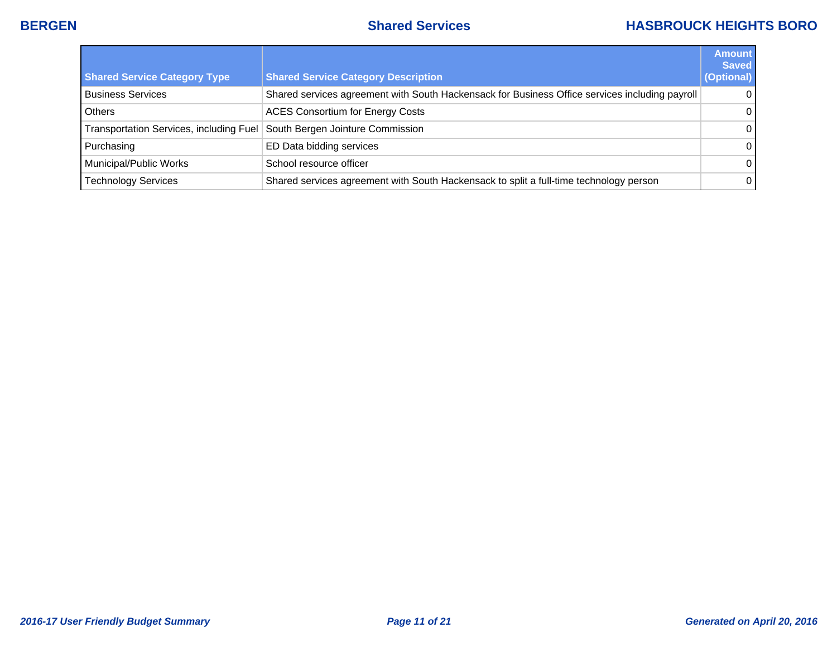## **BERGEN Shared Services HASBROUCK HEIGHTS BORO**

|                                         |                                                                                                | <b>Amount</b><br><b>Saved</b> |
|-----------------------------------------|------------------------------------------------------------------------------------------------|-------------------------------|
| <b>Shared Service Category Type</b>     | <b>Shared Service Category Description</b>                                                     | (Optional)                    |
| <b>Business Services</b>                | Shared services agreement with South Hackensack for Business Office services including payroll | $\Omega$                      |
| Others                                  | <b>ACES Consortium for Energy Costs</b>                                                        | $\overline{0}$                |
| Transportation Services, including Fuel | South Bergen Jointure Commission                                                               | $\overline{0}$                |
| Purchasing                              | ED Data bidding services                                                                       | $\overline{0}$                |
| Municipal/Public Works                  | School resource officer                                                                        | $\overline{0}$                |
| Technology Services                     | Shared services agreement with South Hackensack to split a full-time technology person         | $\overline{0}$ l              |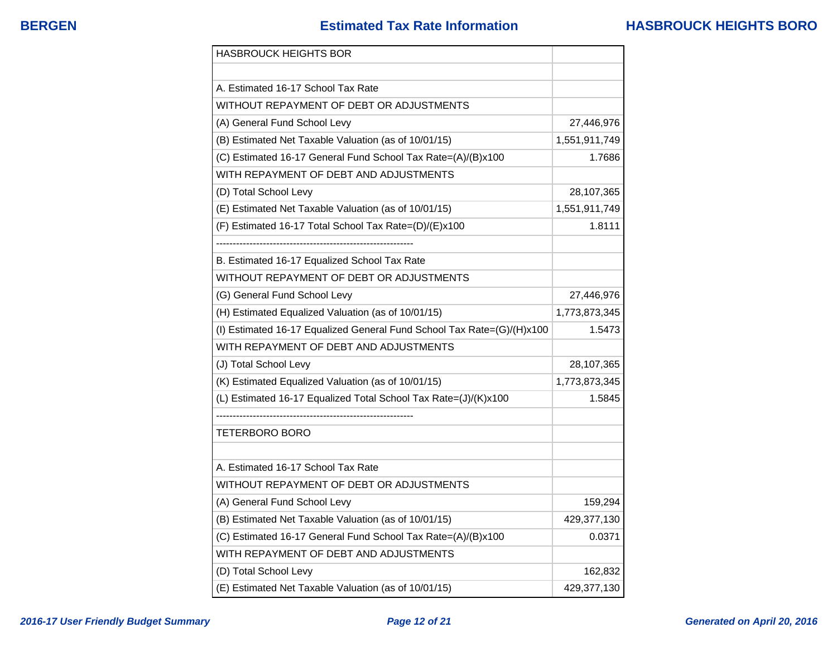| <b>HASBROUCK HEIGHTS BOR</b>                                           |               |
|------------------------------------------------------------------------|---------------|
|                                                                        |               |
| A. Estimated 16-17 School Tax Rate                                     |               |
| WITHOUT REPAYMENT OF DEBT OR ADJUSTMENTS                               |               |
| (A) General Fund School Levy                                           | 27,446,976    |
| (B) Estimated Net Taxable Valuation (as of 10/01/15)                   | 1,551,911,749 |
| (C) Estimated 16-17 General Fund School Tax Rate=(A)/(B)x100           | 1.7686        |
| WITH REPAYMENT OF DEBT AND ADJUSTMENTS                                 |               |
| (D) Total School Levy                                                  | 28,107,365    |
| (E) Estimated Net Taxable Valuation (as of 10/01/15)                   | 1,551,911,749 |
| (F) Estimated 16-17 Total School Tax Rate=(D)/(E)x100                  | 1.8111        |
|                                                                        |               |
| B. Estimated 16-17 Equalized School Tax Rate                           |               |
| WITHOUT REPAYMENT OF DEBT OR ADJUSTMENTS                               |               |
| (G) General Fund School Levy                                           | 27,446,976    |
| (H) Estimated Equalized Valuation (as of 10/01/15)                     | 1,773,873,345 |
| (I) Estimated 16-17 Equalized General Fund School Tax Rate=(G)/(H)x100 | 1.5473        |
| WITH REPAYMENT OF DEBT AND ADJUSTMENTS                                 |               |
| (J) Total School Levy                                                  | 28,107,365    |
| (K) Estimated Equalized Valuation (as of 10/01/15)                     | 1,773,873,345 |
| (L) Estimated 16-17 Equalized Total School Tax Rate=(J)/(K)x100        | 1.5845        |
|                                                                        |               |
| <b>TETERBORO BORO</b>                                                  |               |
|                                                                        |               |
| A. Estimated 16-17 School Tax Rate                                     |               |
| WITHOUT REPAYMENT OF DEBT OR ADJUSTMENTS                               |               |
| (A) General Fund School Levy                                           | 159,294       |
| (B) Estimated Net Taxable Valuation (as of 10/01/15)                   | 429,377,130   |
| (C) Estimated 16-17 General Fund School Tax Rate=(A)/(B)x100           | 0.0371        |
| WITH REPAYMENT OF DEBT AND ADJUSTMENTS                                 |               |
| (D) Total School Levy                                                  | 162,832       |
| (E) Estimated Net Taxable Valuation (as of 10/01/15)                   | 429,377,130   |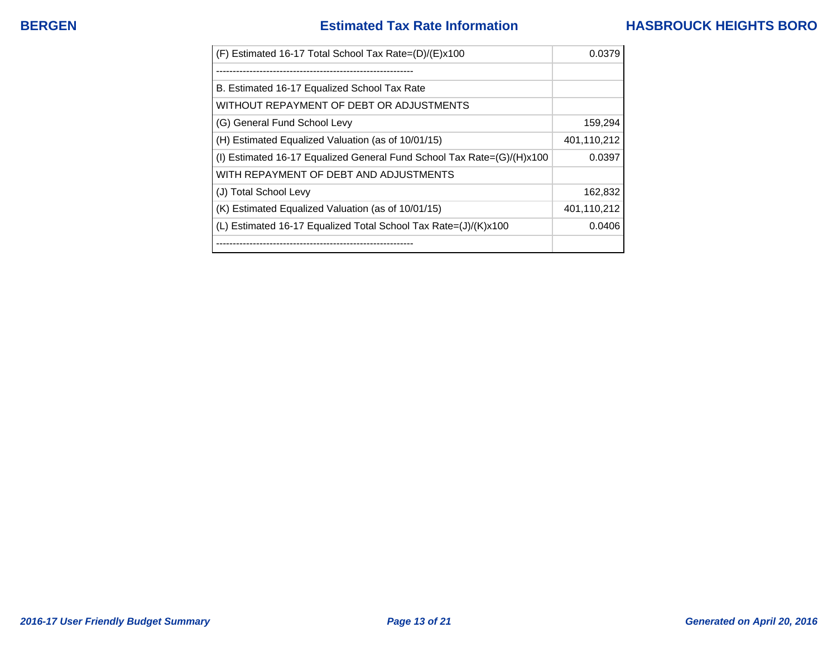| (F) Estimated 16-17 Total School Tax Rate=(D)/(E)x100                  | 0.0379      |
|------------------------------------------------------------------------|-------------|
|                                                                        |             |
| B. Estimated 16-17 Equalized School Tax Rate                           |             |
| WITHOUT REPAYMENT OF DEBT OR ADJUSTMENTS                               |             |
| (G) General Fund School Levy                                           | 159,294     |
| (H) Estimated Equalized Valuation (as of 10/01/15)                     | 401,110,212 |
| (I) Estimated 16-17 Equalized General Fund School Tax Rate=(G)/(H)x100 | 0.0397      |
| WITH REPAYMENT OF DEBT AND ADJUSTMENTS                                 |             |
| (J) Total School Levy                                                  | 162,832     |
| (K) Estimated Equalized Valuation (as of 10/01/15)                     | 401,110,212 |
| (L) Estimated 16-17 Equalized Total School Tax Rate=(J)/(K)x100        | 0.0406      |
| --------------------------------                                       |             |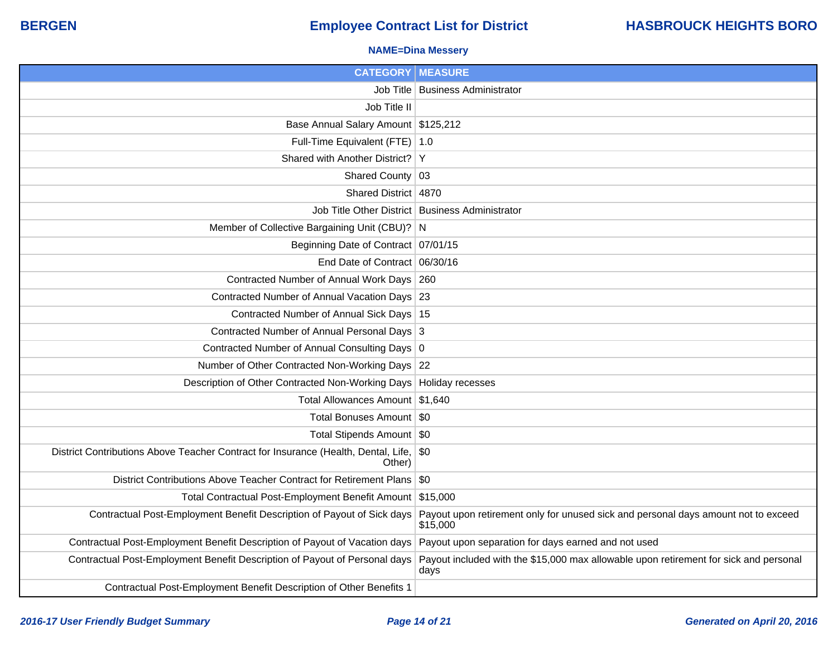### **NAME=Dina Messery**

| <b>CATEGORY   MEASURE</b>                                                                        |                                                                                                |
|--------------------------------------------------------------------------------------------------|------------------------------------------------------------------------------------------------|
|                                                                                                  | Job Title   Business Administrator                                                             |
| Job Title II                                                                                     |                                                                                                |
| Base Annual Salary Amount \$125,212                                                              |                                                                                                |
| Full-Time Equivalent (FTE) 1.0                                                                   |                                                                                                |
| Shared with Another District? Y                                                                  |                                                                                                |
| Shared County 03                                                                                 |                                                                                                |
| Shared District 4870                                                                             |                                                                                                |
|                                                                                                  | Job Title Other District Business Administrator                                                |
| Member of Collective Bargaining Unit (CBU)? N                                                    |                                                                                                |
| Beginning Date of Contract 07/01/15                                                              |                                                                                                |
| End Date of Contract 06/30/16                                                                    |                                                                                                |
| Contracted Number of Annual Work Days 260                                                        |                                                                                                |
| Contracted Number of Annual Vacation Days 23                                                     |                                                                                                |
| Contracted Number of Annual Sick Days 15                                                         |                                                                                                |
| Contracted Number of Annual Personal Days 3                                                      |                                                                                                |
| Contracted Number of Annual Consulting Days 0                                                    |                                                                                                |
| Number of Other Contracted Non-Working Days 22                                                   |                                                                                                |
| Description of Other Contracted Non-Working Days   Holiday recesses                              |                                                                                                |
| Total Allowances Amount \$1,640                                                                  |                                                                                                |
| Total Bonuses Amount   \$0                                                                       |                                                                                                |
| Total Stipends Amount   \$0                                                                      |                                                                                                |
| District Contributions Above Teacher Contract for Insurance (Health, Dental, Life, \$0<br>Other) |                                                                                                |
| District Contributions Above Teacher Contract for Retirement Plans \\$0                          |                                                                                                |
| Total Contractual Post-Employment Benefit Amount \$15,000                                        |                                                                                                |
| Contractual Post-Employment Benefit Description of Payout of Sick days                           | Payout upon retirement only for unused sick and personal days amount not to exceed<br>\$15,000 |
| Contractual Post-Employment Benefit Description of Payout of Vacation days                       | Payout upon separation for days earned and not used                                            |
| Contractual Post-Employment Benefit Description of Payout of Personal days                       | Payout included with the \$15,000 max allowable upon retirement for sick and personal<br>days  |
| Contractual Post-Employment Benefit Description of Other Benefits 1                              |                                                                                                |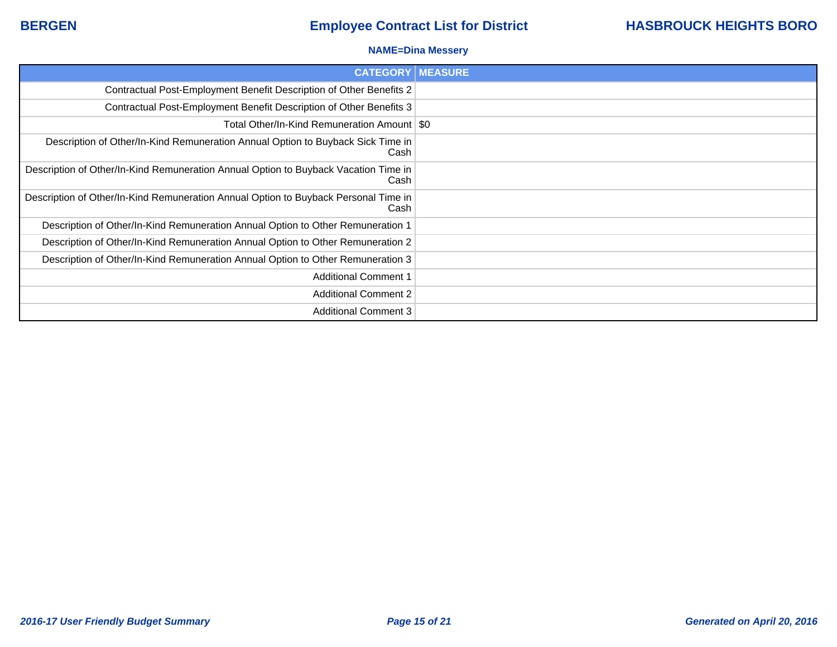### **NAME=Dina Messery**

| <b>CATEGORY   MEASURE</b>                                                                   |  |
|---------------------------------------------------------------------------------------------|--|
| Contractual Post-Employment Benefit Description of Other Benefits 2                         |  |
| Contractual Post-Employment Benefit Description of Other Benefits 3                         |  |
| Total Other/In-Kind Remuneration Amount   \$0                                               |  |
| Description of Other/In-Kind Remuneration Annual Option to Buyback Sick Time in<br>Cash     |  |
| Description of Other/In-Kind Remuneration Annual Option to Buyback Vacation Time in<br>Cash |  |
| Description of Other/In-Kind Remuneration Annual Option to Buyback Personal Time in<br>Cash |  |
| Description of Other/In-Kind Remuneration Annual Option to Other Remuneration 1             |  |
| Description of Other/In-Kind Remuneration Annual Option to Other Remuneration 2             |  |
| Description of Other/In-Kind Remuneration Annual Option to Other Remuneration 3             |  |
| <b>Additional Comment 1</b>                                                                 |  |
| <b>Additional Comment 2</b>                                                                 |  |
| <b>Additional Comment 3</b>                                                                 |  |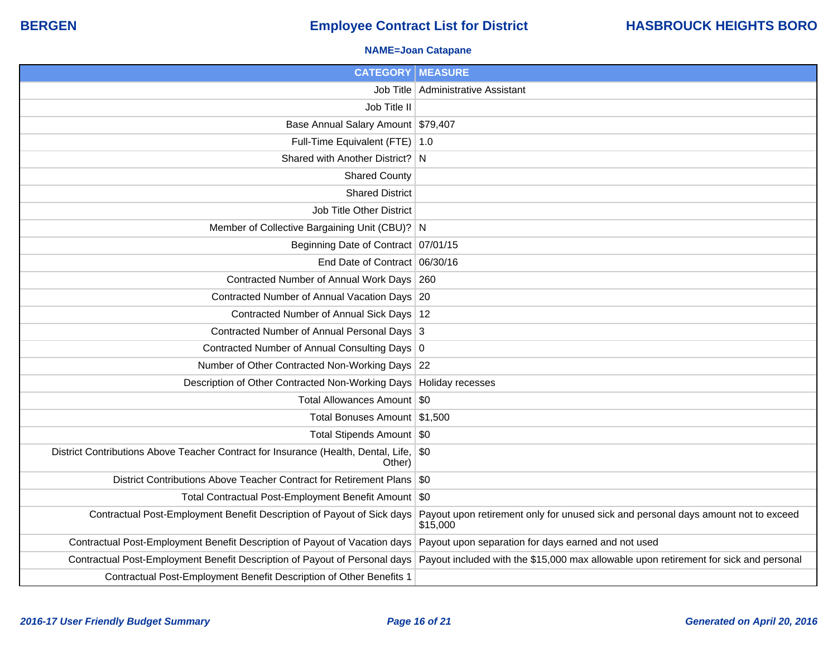### **NAME=Joan Catapane**

| <b>CATEGORY   MEASURE</b>                                                                    |                                                                                                                                                                  |
|----------------------------------------------------------------------------------------------|------------------------------------------------------------------------------------------------------------------------------------------------------------------|
|                                                                                              | Job Title   Administrative Assistant                                                                                                                             |
| Job Title II                                                                                 |                                                                                                                                                                  |
| Base Annual Salary Amount \$79,407                                                           |                                                                                                                                                                  |
| Full-Time Equivalent (FTE) 1.0                                                               |                                                                                                                                                                  |
| Shared with Another District? N                                                              |                                                                                                                                                                  |
| <b>Shared County</b>                                                                         |                                                                                                                                                                  |
| <b>Shared District</b>                                                                       |                                                                                                                                                                  |
| Job Title Other District                                                                     |                                                                                                                                                                  |
| Member of Collective Bargaining Unit (CBU)? N                                                |                                                                                                                                                                  |
| Beginning Date of Contract   07/01/15                                                        |                                                                                                                                                                  |
| End Date of Contract 06/30/16                                                                |                                                                                                                                                                  |
| Contracted Number of Annual Work Days 260                                                    |                                                                                                                                                                  |
| Contracted Number of Annual Vacation Days 20                                                 |                                                                                                                                                                  |
| Contracted Number of Annual Sick Days 12                                                     |                                                                                                                                                                  |
| Contracted Number of Annual Personal Days 3                                                  |                                                                                                                                                                  |
| Contracted Number of Annual Consulting Days 0                                                |                                                                                                                                                                  |
| Number of Other Contracted Non-Working Days 22                                               |                                                                                                                                                                  |
| Description of Other Contracted Non-Working Days   Holiday recesses                          |                                                                                                                                                                  |
| Total Allowances Amount   \$0                                                                |                                                                                                                                                                  |
| Total Bonuses Amount \$1,500                                                                 |                                                                                                                                                                  |
| Total Stipends Amount \$0                                                                    |                                                                                                                                                                  |
| District Contributions Above Teacher Contract for Insurance (Health, Dental, Life,<br>Other) | \$0                                                                                                                                                              |
| District Contributions Above Teacher Contract for Retirement Plans \\$0                      |                                                                                                                                                                  |
| Total Contractual Post-Employment Benefit Amount \$0                                         |                                                                                                                                                                  |
| Contractual Post-Employment Benefit Description of Payout of Sick days                       | Payout upon retirement only for unused sick and personal days amount not to exceed<br>\$15,000                                                                   |
| Contractual Post-Employment Benefit Description of Payout of Vacation days                   | Payout upon separation for days earned and not used                                                                                                              |
|                                                                                              | Contractual Post-Employment Benefit Description of Payout of Personal days Payout included with the \$15,000 max allowable upon retirement for sick and personal |
| Contractual Post-Employment Benefit Description of Other Benefits 1                          |                                                                                                                                                                  |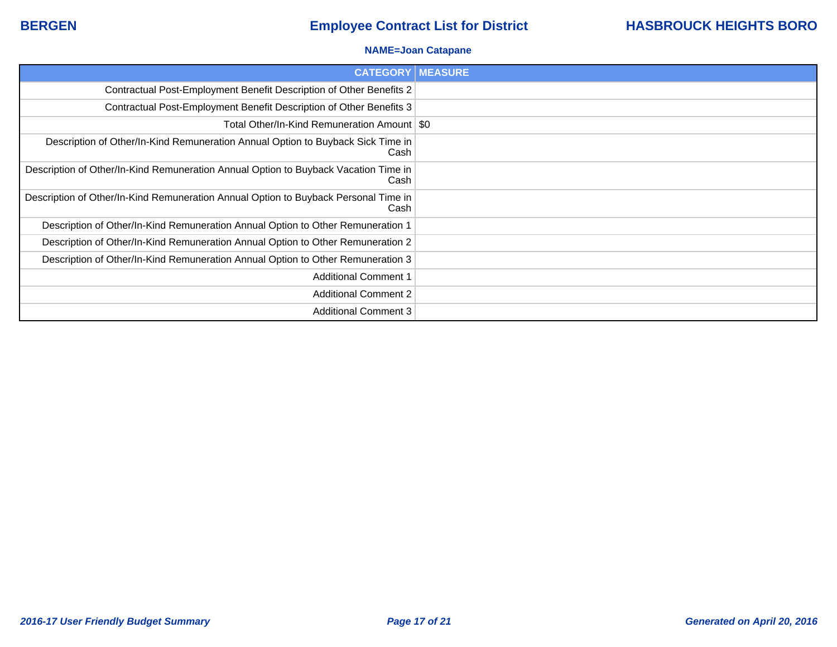### **NAME=Joan Catapane**

| <b>CATEGORY   MEASURE</b>                                                                   |  |
|---------------------------------------------------------------------------------------------|--|
| Contractual Post-Employment Benefit Description of Other Benefits 2                         |  |
| Contractual Post-Employment Benefit Description of Other Benefits 3                         |  |
| Total Other/In-Kind Remuneration Amount   \$0                                               |  |
| Description of Other/In-Kind Remuneration Annual Option to Buyback Sick Time in<br>Cash     |  |
| Description of Other/In-Kind Remuneration Annual Option to Buyback Vacation Time in<br>Cash |  |
| Description of Other/In-Kind Remuneration Annual Option to Buyback Personal Time in<br>Cash |  |
| Description of Other/In-Kind Remuneration Annual Option to Other Remuneration 1             |  |
| Description of Other/In-Kind Remuneration Annual Option to Other Remuneration 2             |  |
| Description of Other/In-Kind Remuneration Annual Option to Other Remuneration 3             |  |
| <b>Additional Comment 1</b>                                                                 |  |
| <b>Additional Comment 2</b>                                                                 |  |
| <b>Additional Comment 3</b>                                                                 |  |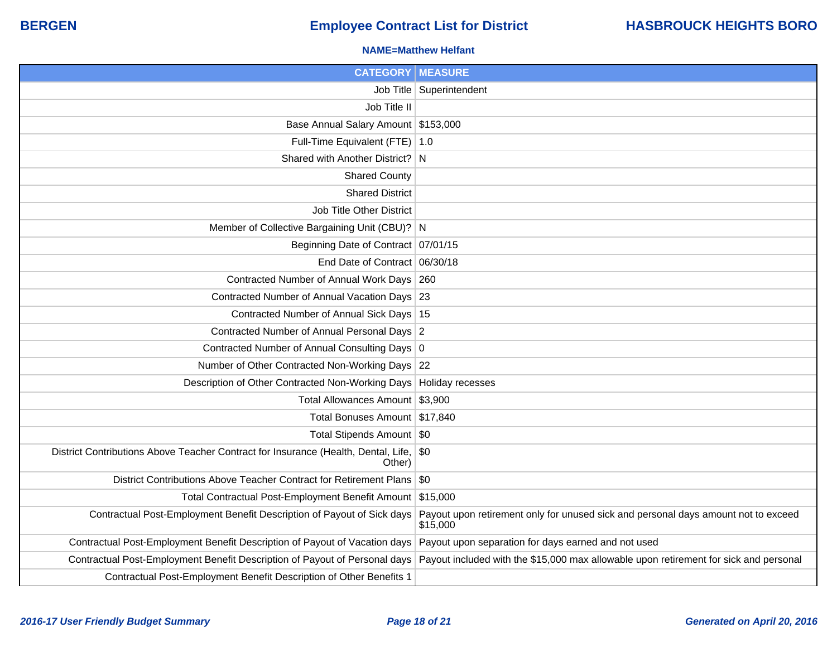### **NAME=Matthew Helfant**

| <b>CATEGORY   MEASURE</b>                                                                        |                                                                                                                                                                  |
|--------------------------------------------------------------------------------------------------|------------------------------------------------------------------------------------------------------------------------------------------------------------------|
|                                                                                                  | Job Title   Superintendent                                                                                                                                       |
| Job Title II                                                                                     |                                                                                                                                                                  |
| Base Annual Salary Amount \$153,000                                                              |                                                                                                                                                                  |
| Full-Time Equivalent (FTE)   1.0                                                                 |                                                                                                                                                                  |
| Shared with Another District? N                                                                  |                                                                                                                                                                  |
| <b>Shared County</b>                                                                             |                                                                                                                                                                  |
| <b>Shared District</b>                                                                           |                                                                                                                                                                  |
| Job Title Other District                                                                         |                                                                                                                                                                  |
| Member of Collective Bargaining Unit (CBU)? N                                                    |                                                                                                                                                                  |
| Beginning Date of Contract   07/01/15                                                            |                                                                                                                                                                  |
| End Date of Contract 06/30/18                                                                    |                                                                                                                                                                  |
| Contracted Number of Annual Work Days 260                                                        |                                                                                                                                                                  |
| Contracted Number of Annual Vacation Days 23                                                     |                                                                                                                                                                  |
| Contracted Number of Annual Sick Days   15                                                       |                                                                                                                                                                  |
| Contracted Number of Annual Personal Days 2                                                      |                                                                                                                                                                  |
| Contracted Number of Annual Consulting Days 0                                                    |                                                                                                                                                                  |
| Number of Other Contracted Non-Working Days 22                                                   |                                                                                                                                                                  |
| Description of Other Contracted Non-Working Days   Holiday recesses                              |                                                                                                                                                                  |
| Total Allowances Amount \$3,900                                                                  |                                                                                                                                                                  |
| Total Bonuses Amount   \$17,840                                                                  |                                                                                                                                                                  |
| Total Stipends Amount   \$0                                                                      |                                                                                                                                                                  |
| District Contributions Above Teacher Contract for Insurance (Health, Dental, Life, \$0<br>Other) |                                                                                                                                                                  |
| District Contributions Above Teacher Contract for Retirement Plans \\$0                          |                                                                                                                                                                  |
| Total Contractual Post-Employment Benefit Amount \$15,000                                        |                                                                                                                                                                  |
| Contractual Post-Employment Benefit Description of Payout of Sick days                           | Payout upon retirement only for unused sick and personal days amount not to exceed<br>\$15,000                                                                   |
| Contractual Post-Employment Benefit Description of Payout of Vacation days                       | Payout upon separation for days earned and not used                                                                                                              |
|                                                                                                  | Contractual Post-Employment Benefit Description of Payout of Personal days Payout included with the \$15,000 max allowable upon retirement for sick and personal |
| Contractual Post-Employment Benefit Description of Other Benefits 1                              |                                                                                                                                                                  |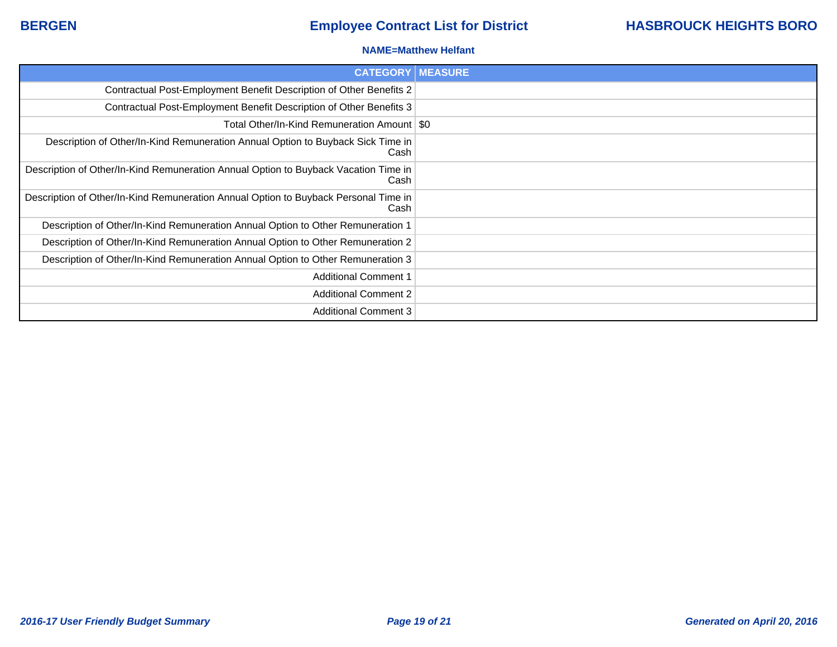### **NAME=Matthew Helfant**

| <b>CATEGORY   MEASURE</b>                                                                   |  |
|---------------------------------------------------------------------------------------------|--|
| Contractual Post-Employment Benefit Description of Other Benefits 2                         |  |
| Contractual Post-Employment Benefit Description of Other Benefits 3                         |  |
| Total Other/In-Kind Remuneration Amount   \$0                                               |  |
| Description of Other/In-Kind Remuneration Annual Option to Buyback Sick Time in<br>Cash     |  |
| Description of Other/In-Kind Remuneration Annual Option to Buyback Vacation Time in<br>Cash |  |
| Description of Other/In-Kind Remuneration Annual Option to Buyback Personal Time in<br>Cash |  |
| Description of Other/In-Kind Remuneration Annual Option to Other Remuneration 1             |  |
| Description of Other/In-Kind Remuneration Annual Option to Other Remuneration 2             |  |
| Description of Other/In-Kind Remuneration Annual Option to Other Remuneration 3             |  |
| <b>Additional Comment 1</b>                                                                 |  |
| <b>Additional Comment 2</b>                                                                 |  |
| <b>Additional Comment 3</b>                                                                 |  |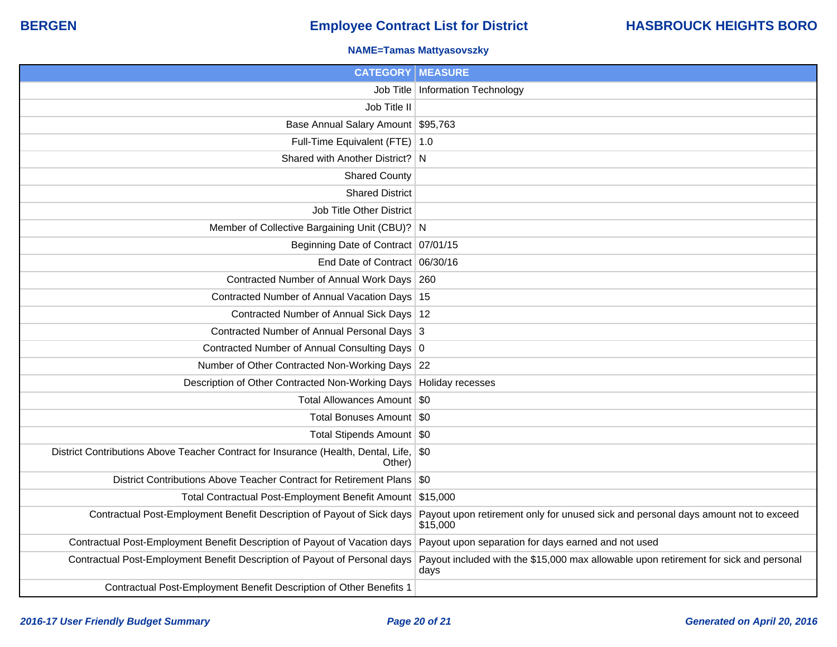### **NAME=Tamas Mattyasovszky**

| <b>CATEGORY MEASURE</b>                                                                          |                                                                                                |
|--------------------------------------------------------------------------------------------------|------------------------------------------------------------------------------------------------|
|                                                                                                  | Job Title   Information Technology                                                             |
| Job Title II                                                                                     |                                                                                                |
| Base Annual Salary Amount   \$95,763                                                             |                                                                                                |
| Full-Time Equivalent (FTE)   1.0                                                                 |                                                                                                |
| Shared with Another District? N                                                                  |                                                                                                |
| <b>Shared County</b>                                                                             |                                                                                                |
| <b>Shared District</b>                                                                           |                                                                                                |
| Job Title Other District                                                                         |                                                                                                |
| Member of Collective Bargaining Unit (CBU)? N                                                    |                                                                                                |
| Beginning Date of Contract 07/01/15                                                              |                                                                                                |
| End Date of Contract 06/30/16                                                                    |                                                                                                |
| Contracted Number of Annual Work Days 260                                                        |                                                                                                |
| Contracted Number of Annual Vacation Days 15                                                     |                                                                                                |
| Contracted Number of Annual Sick Days 12                                                         |                                                                                                |
| Contracted Number of Annual Personal Days 3                                                      |                                                                                                |
| Contracted Number of Annual Consulting Days 0                                                    |                                                                                                |
| Number of Other Contracted Non-Working Days 22                                                   |                                                                                                |
| Description of Other Contracted Non-Working Days   Holiday recesses                              |                                                                                                |
| Total Allowances Amount   \$0                                                                    |                                                                                                |
| Total Bonuses Amount   \$0                                                                       |                                                                                                |
| Total Stipends Amount   \$0                                                                      |                                                                                                |
| District Contributions Above Teacher Contract for Insurance (Health, Dental, Life, \$0<br>Other) |                                                                                                |
| District Contributions Above Teacher Contract for Retirement Plans \\$0                          |                                                                                                |
| Total Contractual Post-Employment Benefit Amount \$15,000                                        |                                                                                                |
| Contractual Post-Employment Benefit Description of Payout of Sick days                           | Payout upon retirement only for unused sick and personal days amount not to exceed<br>\$15,000 |
| Contractual Post-Employment Benefit Description of Payout of Vacation days                       | Payout upon separation for days earned and not used                                            |
| Contractual Post-Employment Benefit Description of Payout of Personal days                       | Payout included with the \$15,000 max allowable upon retirement for sick and personal<br>days  |
| Contractual Post-Employment Benefit Description of Other Benefits 1                              |                                                                                                |